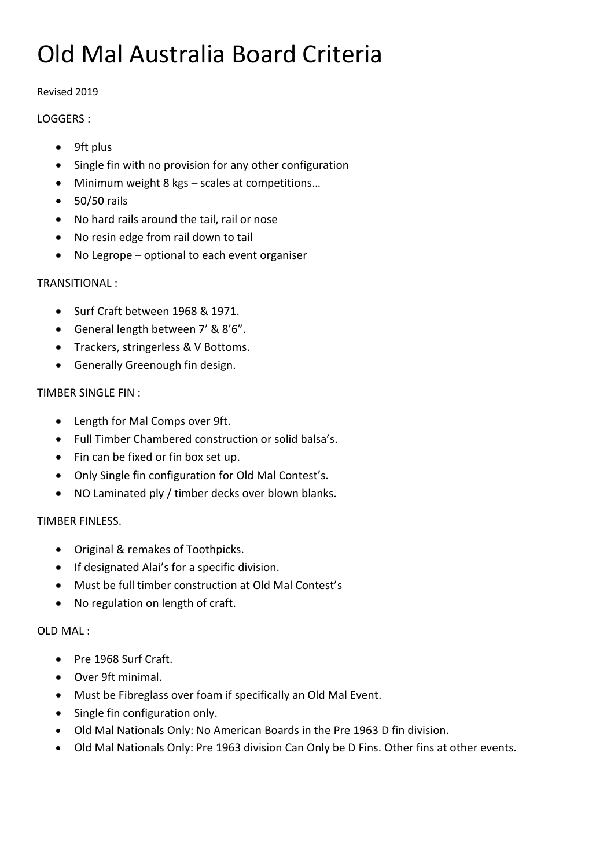# Old Mal Australia Board Criteria

#### Revised 2019

### LOGGERS :

- 9ft plus
- Single fin with no provision for any other configuration
- Minimum weight 8 kgs scales at competitions…
- $\bullet$  50/50 rails
- No hard rails around the tail, rail or nose
- No resin edge from rail down to tail
- No Legrope optional to each event organiser

# TRANSITIONAL :

- Surf Craft between 1968 & 1971.
- General length between 7' & 8'6".
- Trackers, stringerless & V Bottoms.
- Generally Greenough fin design.

# TIMBER SINGLE FIN :

- Length for Mal Comps over 9ft.
- Full Timber Chambered construction or solid balsa's.
- Fin can be fixed or fin box set up.
- Only Single fin configuration for Old Mal Contest's.
- NO Laminated ply / timber decks over blown blanks.

#### TIMBER FINLESS.

- Original & remakes of Toothpicks.
- If designated Alai's for a specific division.
- Must be full timber construction at Old Mal Contest's
- No regulation on length of craft.

#### OLD MAL :

- Pre 1968 Surf Craft.
- Over 9ft minimal.
- Must be Fibreglass over foam if specifically an Old Mal Event.
- Single fin configuration only.
- Old Mal Nationals Only: No American Boards in the Pre 1963 D fin division.
- Old Mal Nationals Only: Pre 1963 division Can Only be D Fins. Other fins at other events.